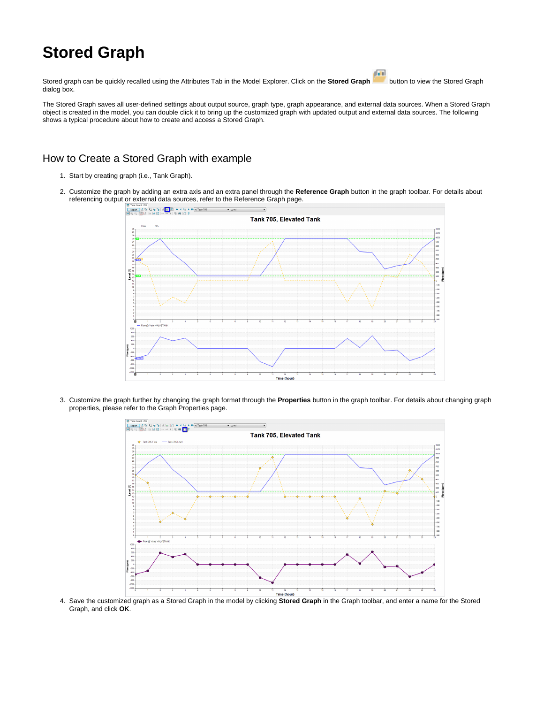## **Stored Graph**

画 Stored graph can be quickly recalled using the Attributes Tab in the Model Explorer. Click on the **Stored Graph button to view the Stored Graph** dialog box.

The Stored Graph saves all user-defined settings about output source, graph type, graph appearance, and external data sources. When a Stored Graph object is created in the model, you can double click it to bring up the customized graph with updated output and external data sources. The following shows a typical procedure about how to create and access a Stored Graph.

## How to Create a Stored Graph with example

- 1. Start by creating graph (i.e., Tank Graph).
- 2. Customize the graph by adding an extra axis and an extra panel through the **Reference Graph** button in the graph toolbar. For details about referencing output or external data sources, refer to the Reference Graph page.



3. Customize the graph further by changing the graph format through the **Properties** button in the graph toolbar. For details about changing graph properties, please refer to the Graph Properties page.



4. Save the customized graph as a Stored Graph in the model by clicking **Stored Graph** in the Graph toolbar, and enter a name for the Stored Graph, and click **OK**.